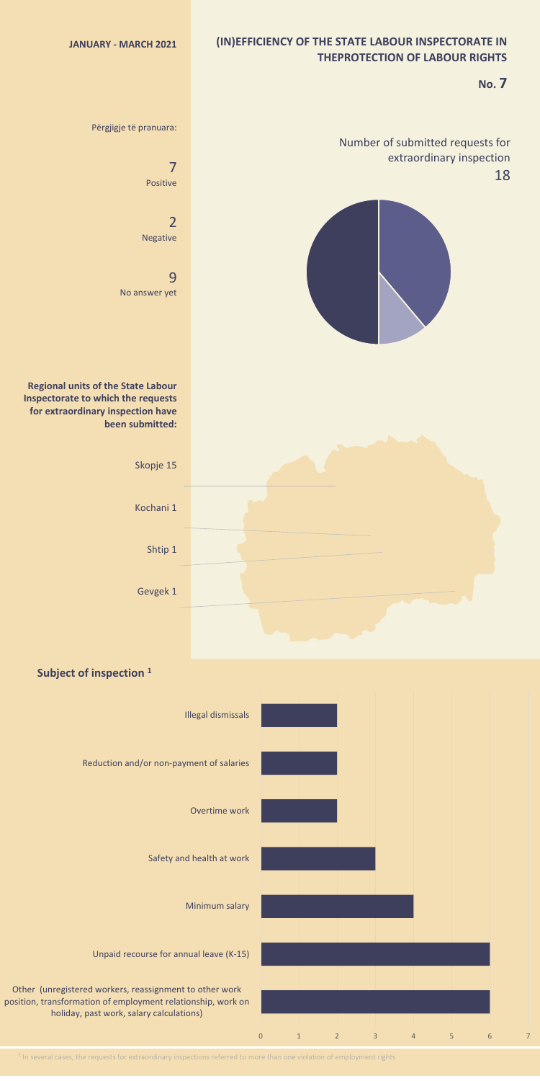## **(IN)EFFICIENCY OF THE STATE LABOUR INSPECTORATE IN THEPROTECTION OF LABOUR RIGHTS**

## **No. 7**





<sup>1</sup> In several cases, the requests for extraordinary inspections referred to more than one violation of employment rights